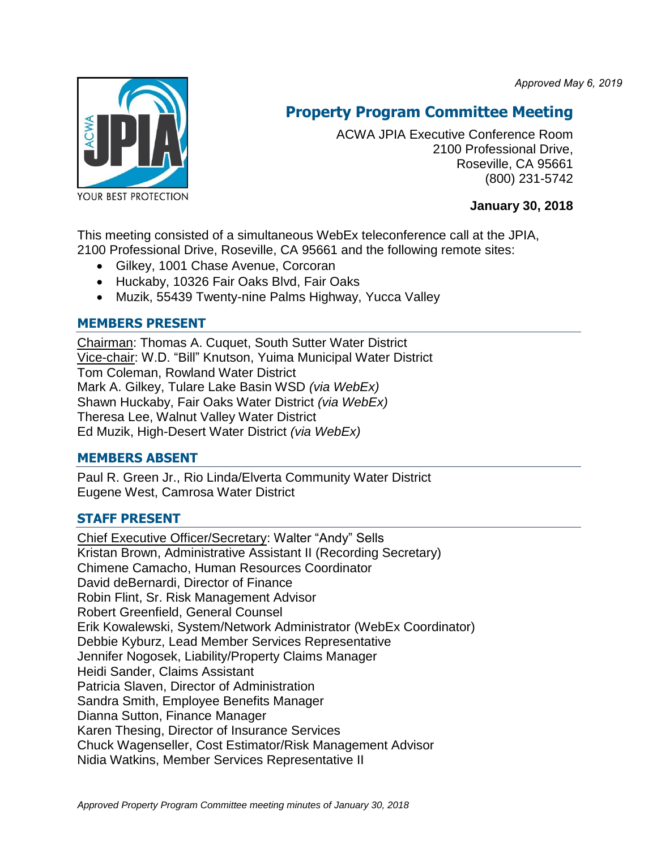*Approved May 6, 2019*



# **Property Program Committee Meeting**

ACWA JPIA Executive Conference Room 2100 Professional Drive, Roseville, CA 95661 (800) 231-5742

**January 30, 2018**

This meeting consisted of a simultaneous WebEx teleconference call at the JPIA, 2100 Professional Drive, Roseville, CA 95661 and the following remote sites:

- Gilkey, 1001 Chase Avenue, Corcoran
- Huckaby, 10326 Fair Oaks Blvd, Fair Oaks
- Muzik, 55439 Twenty-nine Palms Highway, Yucca Valley

# **MEMBERS PRESENT**

Chairman: Thomas A. Cuquet, South Sutter Water District Vice-chair: W.D. "Bill" Knutson, Yuima Municipal Water District Tom Coleman, Rowland Water District Mark A. Gilkey, Tulare Lake Basin WSD *(via WebEx)* Shawn Huckaby, Fair Oaks Water District *(via WebEx)* Theresa Lee, Walnut Valley Water District Ed Muzik, High-Desert Water District *(via WebEx)*

#### **MEMBERS ABSENT**

Paul R. Green Jr., Rio Linda/Elverta Community Water District Eugene West, Camrosa Water District

# **STAFF PRESENT**

Chief Executive Officer/Secretary: Walter "Andy" Sells Kristan Brown, Administrative Assistant II (Recording Secretary) Chimene Camacho, Human Resources Coordinator David deBernardi, Director of Finance Robin Flint, Sr. Risk Management Advisor Robert Greenfield, General Counsel Erik Kowalewski, System/Network Administrator (WebEx Coordinator) Debbie Kyburz, Lead Member Services Representative Jennifer Nogosek, Liability/Property Claims Manager Heidi Sander, Claims Assistant Patricia Slaven, Director of Administration Sandra Smith, Employee Benefits Manager Dianna Sutton, Finance Manager Karen Thesing, Director of Insurance Services Chuck Wagenseller, Cost Estimator/Risk Management Advisor Nidia Watkins, Member Services Representative II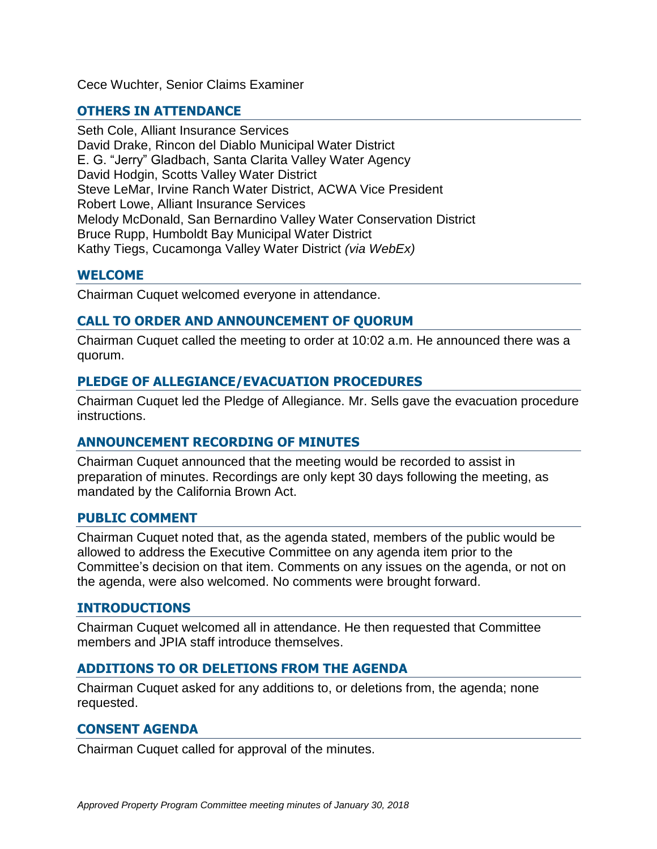Cece Wuchter, Senior Claims Examiner

# **OTHERS IN ATTENDANCE**

Seth Cole, Alliant Insurance Services David Drake, Rincon del Diablo Municipal Water District E. G. "Jerry" Gladbach, Santa Clarita Valley Water Agency David Hodgin, Scotts Valley Water District Steve LeMar, Irvine Ranch Water District, ACWA Vice President Robert Lowe, Alliant Insurance Services Melody McDonald, San Bernardino Valley Water Conservation District Bruce Rupp, Humboldt Bay Municipal Water District Kathy Tiegs, Cucamonga Valley Water District *(via WebEx)*

## **WELCOME**

Chairman Cuquet welcomed everyone in attendance.

## **CALL TO ORDER AND ANNOUNCEMENT OF QUORUM**

Chairman Cuquet called the meeting to order at 10:02 a.m. He announced there was a quorum.

#### **PLEDGE OF ALLEGIANCE/EVACUATION PROCEDURES**

Chairman Cuquet led the Pledge of Allegiance. Mr. Sells gave the evacuation procedure instructions.

#### **ANNOUNCEMENT RECORDING OF MINUTES**

Chairman Cuquet announced that the meeting would be recorded to assist in preparation of minutes. Recordings are only kept 30 days following the meeting, as mandated by the California Brown Act.

#### **PUBLIC COMMENT**

Chairman Cuquet noted that, as the agenda stated, members of the public would be allowed to address the Executive Committee on any agenda item prior to the Committee's decision on that item. Comments on any issues on the agenda, or not on the agenda, were also welcomed. No comments were brought forward.

#### **INTRODUCTIONS**

Chairman Cuquet welcomed all in attendance. He then requested that Committee members and JPIA staff introduce themselves.

#### **ADDITIONS TO OR DELETIONS FROM THE AGENDA**

Chairman Cuquet asked for any additions to, or deletions from, the agenda; none requested.

#### **CONSENT AGENDA**

Chairman Cuquet called for approval of the minutes.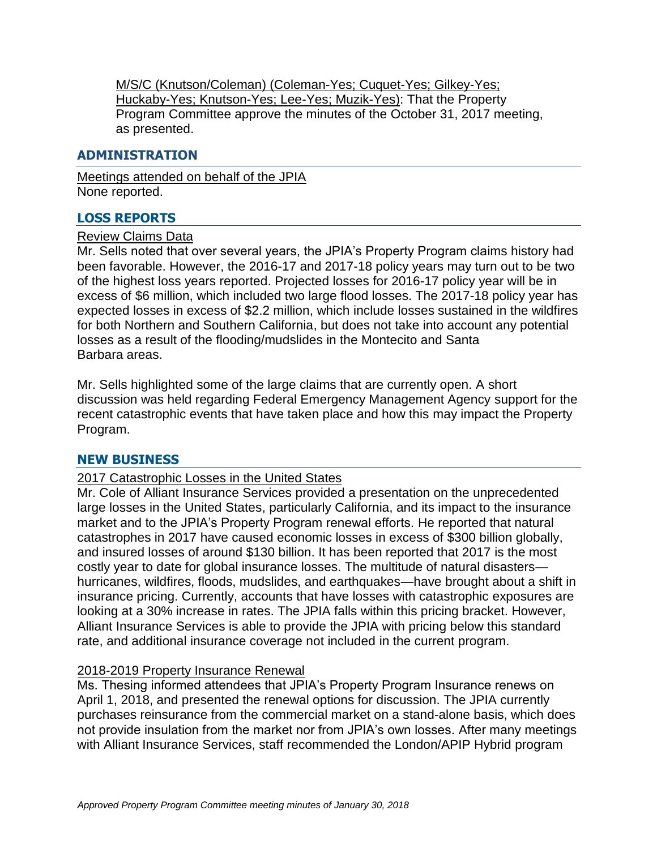M/S/C (Knutson/Coleman) (Coleman-Yes; Cuquet-Yes; Gilkey-Yes; Huckaby-Yes; Knutson-Yes; Lee-Yes; Muzik-Yes): That the Property Program Committee approve the minutes of the October 31, 2017 meeting, as presented.

#### **ADMINISTRATION**

Meetings attended on behalf of the JPIA None reported.

### **LOSS REPORTS**

#### Review Claims Data

Mr. Sells noted that over several years, the JPIA's Property Program claims history had been favorable. However, the 2016-17 and 2017-18 policy years may turn out to be two of the highest loss years reported. Projected losses for 2016-17 policy year will be in excess of \$6 million, which included two large flood losses. The 2017-18 policy year has expected losses in excess of \$2.2 million, which include losses sustained in the wildfires for both Northern and Southern California, but does not take into account any potential losses as a result of the flooding/mudslides in the Montecito and Santa Barbara areas.

Mr. Sells highlighted some of the large claims that are currently open. A short discussion was held regarding Federal Emergency Management Agency support for the recent catastrophic events that have taken place and how this may impact the Property Program.

#### **NEW BUSINESS**

#### 2017 Catastrophic Losses in the United States

Mr. Cole of Alliant Insurance Services provided a presentation on the unprecedented large losses in the United States, particularly California, and its impact to the insurance market and to the JPIA's Property Program renewal efforts. He reported that natural catastrophes in 2017 have caused economic losses in excess of \$300 billion globally, and insured losses of around \$130 billion. It has been reported that 2017 is the most costly year to date for global insurance losses. The multitude of natural disasters hurricanes, wildfires, floods, mudslides, and earthquakes—have brought about a shift in insurance pricing. Currently, accounts that have losses with catastrophic exposures are looking at a 30% increase in rates. The JPIA falls within this pricing bracket. However, Alliant Insurance Services is able to provide the JPIA with pricing below this standard rate, and additional insurance coverage not included in the current program.

#### 2018-2019 Property Insurance Renewal

Ms. Thesing informed attendees that JPIA's Property Program Insurance renews on April 1, 2018, and presented the renewal options for discussion. The JPIA currently purchases reinsurance from the commercial market on a stand-alone basis, which does not provide insulation from the market nor from JPIA's own losses. After many meetings with Alliant Insurance Services, staff recommended the London/APIP Hybrid program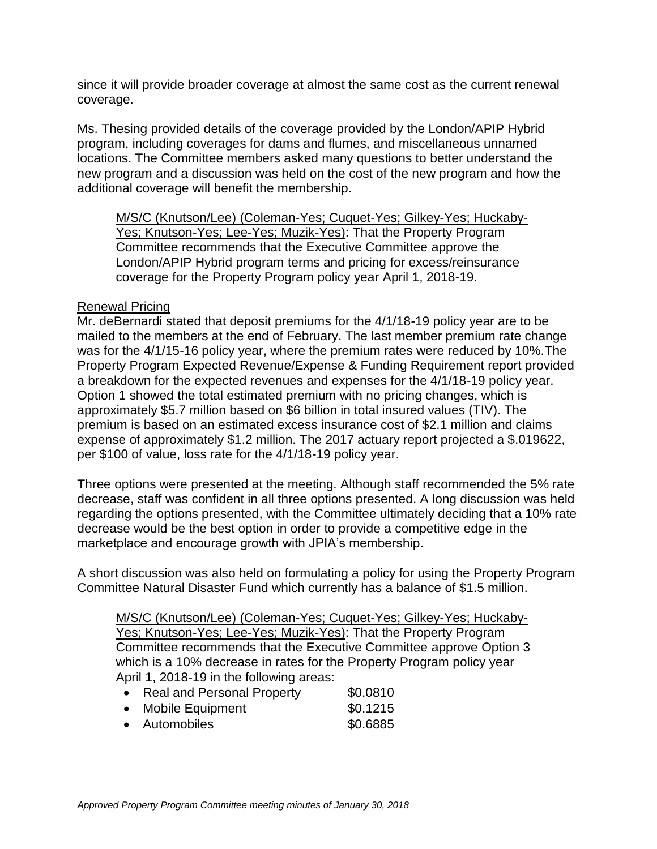since it will provide broader coverage at almost the same cost as the current renewal coverage.

Ms. Thesing provided details of the coverage provided by the London/APIP Hybrid program, including coverages for dams and flumes, and miscellaneous unnamed locations. The Committee members asked many questions to better understand the new program and a discussion was held on the cost of the new program and how the additional coverage will benefit the membership.

M/S/C (Knutson/Lee) (Coleman-Yes; Cuquet-Yes; Gilkey-Yes; Huckaby-Yes; Knutson-Yes; Lee-Yes; Muzik-Yes): That the Property Program Committee recommends that the Executive Committee approve the London/APIP Hybrid program terms and pricing for excess/reinsurance coverage for the Property Program policy year April 1, 2018-19.

#### Renewal Pricing

Mr. deBernardi stated that deposit premiums for the 4/1/18-19 policy year are to be mailed to the members at the end of February. The last member premium rate change was for the 4/1/15-16 policy year, where the premium rates were reduced by 10%.The Property Program Expected Revenue/Expense & Funding Requirement report provided a breakdown for the expected revenues and expenses for the 4/1/18-19 policy year. Option 1 showed the total estimated premium with no pricing changes, which is approximately \$5.7 million based on \$6 billion in total insured values (TIV). The premium is based on an estimated excess insurance cost of \$2.1 million and claims expense of approximately \$1.2 million. The 2017 actuary report projected a \$.019622, per \$100 of value, loss rate for the 4/1/18-19 policy year.

Three options were presented at the meeting. Although staff recommended the 5% rate decrease, staff was confident in all three options presented. A long discussion was held regarding the options presented, with the Committee ultimately deciding that a 10% rate decrease would be the best option in order to provide a competitive edge in the marketplace and encourage growth with JPIA's membership.

A short discussion was also held on formulating a policy for using the Property Program Committee Natural Disaster Fund which currently has a balance of \$1.5 million.

M/S/C (Knutson/Lee) (Coleman-Yes; Cuquet-Yes; Gilkey-Yes; Huckaby-Yes; Knutson-Yes; Lee-Yes; Muzik-Yes): That the Property Program Committee recommends that the Executive Committee approve Option 3 which is a 10% decrease in rates for the Property Program policy year April 1, 2018-19 in the following areas:

|  | <b>Real and Personal Property</b> | \$0.0810 |
|--|-----------------------------------|----------|
|--|-----------------------------------|----------|

| <b>Mobile Equipment</b> | \$0.1215 |
|-------------------------|----------|
|                         |          |

Automobiles \$0.6885